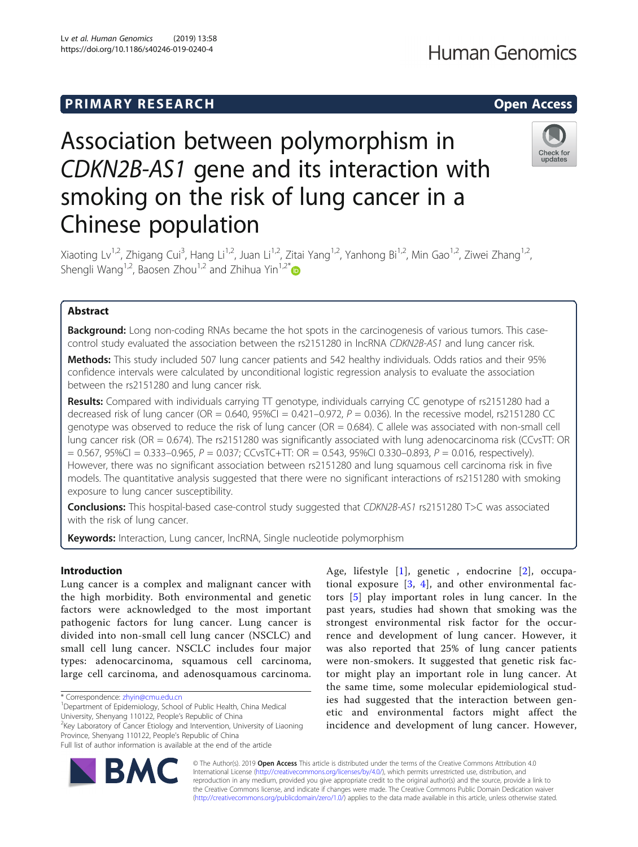## **PRIMARY RESEARCH CHARGE ACCESS**

# Association between polymorphism in CDKN2B-AS1 gene and its interaction with smoking on the risk of lung cancer in a Chinese population



Xiaoting Lv<sup>1,2</sup>, Zhigang Cui<sup>3</sup>, Hang Li<sup>1,2</sup>, Juan Li<sup>1,2</sup>, Zitai Yang<sup>1,2</sup>, Yanhong Bi<sup>1,2</sup>, Min Gao<sup>1,2</sup>, Ziwei Zhang<sup>1,2</sup>, Shengli Wang<sup>1,2</sup>, Baosen Zhou<sup>1,2</sup> and Zhihua Yin<sup>1,2\*</sup>

### Abstract

**Background:** Long non-coding RNAs became the hot spots in the carcinogenesis of various tumors. This casecontrol study evaluated the association between the rs2151280 in lncRNA CDKN2B-AS1 and lung cancer risk.

Methods: This study included 507 lung cancer patients and 542 healthy individuals. Odds ratios and their 95% confidence intervals were calculated by unconditional logistic regression analysis to evaluate the association between the rs2151280 and lung cancer risk.

**Results:** Compared with individuals carrying  $\Pi$  genotype, individuals carrying CC genotype of rs2151280 had a decreased risk of lung cancer (OR =  $0.640$ ,  $95\%$ CI =  $0.421-0.972$ ,  $P = 0.036$ ). In the recessive model, rs2151280 CC genotype was observed to reduce the risk of lung cancer ( $OR = 0.684$ ). C allele was associated with non-small cell lung cancer risk (OR = 0.674). The rs2151280 was significantly associated with lung adenocarcinoma risk (CCvsTT: OR  $= 0.567$ , 95%CI = 0.333–0.965, P = 0.037; CCvsTC+TT: OR = 0.543, 95%CI 0.330–0.893, P = 0.016, respectively). However, there was no significant association between rs2151280 and lung squamous cell carcinoma risk in five models. The quantitative analysis suggested that there were no significant interactions of rs2151280 with smoking exposure to lung cancer susceptibility.

Conclusions: This hospital-based case-control study suggested that CDKN2B-AS1 rs2151280 T>C was associated with the risk of lung cancer.

Keywords: Interaction, Lung cancer, IncRNA, Single nucleotide polymorphism

#### Introduction

Lung cancer is a complex and malignant cancer with the high morbidity. Both environmental and genetic factors were acknowledged to the most important pathogenic factors for lung cancer. Lung cancer is divided into non-small cell lung cancer (NSCLC) and small cell lung cancer. NSCLC includes four major types: adenocarcinoma, squamous cell carcinoma, large cell carcinoma, and adenosquamous carcinoma.

Department of Epidemiology, School of Public Health, China Medical University, Shenyang 110122, People's Republic of China <sup>2</sup>

 $2$ Key Laboratory of Cancer Etiology and Intervention, University of Liaoning Province, Shenyang 110122, People's Republic of China

Age, lifestyle [\[1\]](#page-8-0), genetic , endocrine [[2\]](#page-8-0), occupational exposure [\[3](#page-8-0), [4\]](#page-8-0), and other environmental factors [[5\]](#page-8-0) play important roles in lung cancer. In the past years, studies had shown that smoking was the strongest environmental risk factor for the occurrence and development of lung cancer. However, it was also reported that 25% of lung cancer patients were non-smokers. It suggested that genetic risk factor might play an important role in lung cancer. At the same time, some molecular epidemiological studies had suggested that the interaction between genetic and environmental factors might affect the incidence and development of lung cancer. However,



© The Author(s). 2019 **Open Access** This article is distributed under the terms of the Creative Commons Attribution 4.0 International License [\(http://creativecommons.org/licenses/by/4.0/](http://creativecommons.org/licenses/by/4.0/)), which permits unrestricted use, distribution, and reproduction in any medium, provided you give appropriate credit to the original author(s) and the source, provide a link to the Creative Commons license, and indicate if changes were made. The Creative Commons Public Domain Dedication waiver [\(http://creativecommons.org/publicdomain/zero/1.0/](http://creativecommons.org/publicdomain/zero/1.0/)) applies to the data made available in this article, unless otherwise stated.

<sup>\*</sup> Correspondence: [zhyin@cmu.edu.cn](mailto:zhyin@cmu.edu.cn) <sup>1</sup>

Full list of author information is available at the end of the article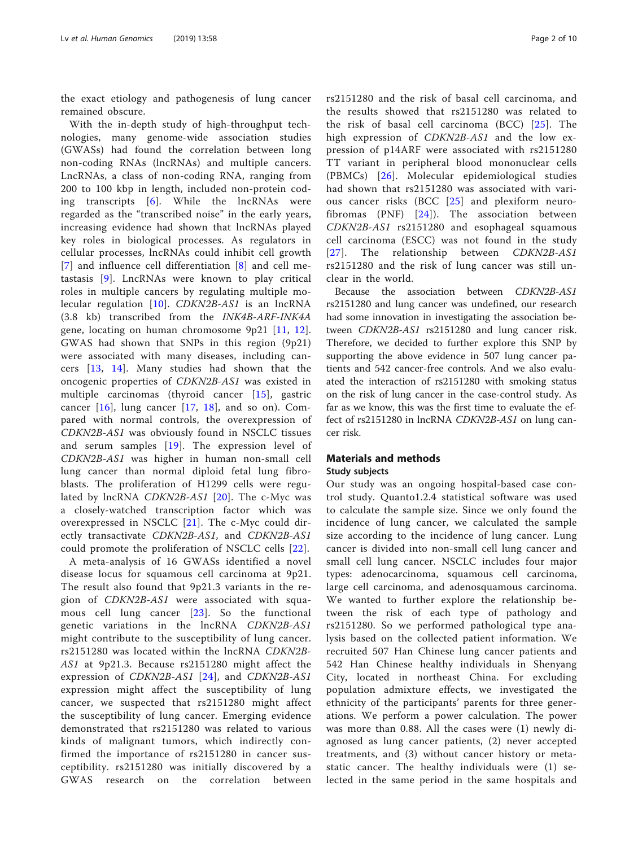the exact etiology and pathogenesis of lung cancer remained obscure.

With the in-depth study of high-throughput technologies, many genome-wide association studies (GWASs) had found the correlation between long non-coding RNAs (lncRNAs) and multiple cancers. LncRNAs, a class of non-coding RNA, ranging from 200 to 100 kbp in length, included non-protein coding transcripts [[6](#page-8-0)]. While the lncRNAs were regarded as the "transcribed noise" in the early years, increasing evidence had shown that lncRNAs played key roles in biological processes. As regulators in cellular processes, lncRNAs could inhibit cell growth [[7](#page-8-0)] and influence cell differentiation [[8\]](#page-8-0) and cell metastasis [[9](#page-8-0)]. LncRNAs were known to play critical roles in multiple cancers by regulating multiple molecular regulation [[10\]](#page-8-0). CDKN2B-AS1 is an lncRNA (3.8 kb) transcribed from the INK4B-ARF-INK4A gene, locating on human chromosome 9p21 [[11](#page-8-0), [12](#page-8-0)]. GWAS had shown that SNPs in this region (9p21) were associated with many diseases, including cancers [\[13,](#page-8-0) [14](#page-8-0)]. Many studies had shown that the oncogenic properties of CDKN2B-AS1 was existed in multiple carcinomas (thyroid cancer [[15\]](#page-8-0), gastric cancer  $[16]$  $[16]$ , lung cancer  $[17, 18]$  $[17, 18]$  $[17, 18]$  $[17, 18]$  $[17, 18]$ , and so on). Compared with normal controls, the overexpression of CDKN2B-AS1 was obviously found in NSCLC tissues and serum samples [[19](#page-8-0)]. The expression level of CDKN2B-AS1 was higher in human non-small cell lung cancer than normal diploid fetal lung fibroblasts. The proliferation of H1299 cells were regulated by lncRNA  $CDKN2B-AS1$  [[20](#page-8-0)]. The c-Myc was a closely-watched transcription factor which was overexpressed in NSCLC [[21](#page-8-0)]. The c-Myc could directly transactivate CDKN2B-AS1, and CDKN2B-AS1 could promote the proliferation of NSCLC cells [[22](#page-8-0)].

A meta-analysis of 16 GWASs identified a novel disease locus for squamous cell carcinoma at 9p21. The result also found that 9p21.3 variants in the region of CDKN2B-AS1 were associated with squamous cell lung cancer [[23\]](#page-8-0). So the functional genetic variations in the lncRNA CDKN2B-AS1 might contribute to the susceptibility of lung cancer. rs2151280 was located within the lncRNA CDKN2B-AS1 at 9p21.3. Because rs2151280 might affect the expression of CDKN2B-AS1 [[24](#page-8-0)], and CDKN2B-AS1 expression might affect the susceptibility of lung cancer, we suspected that rs2151280 might affect the susceptibility of lung cancer. Emerging evidence demonstrated that rs2151280 was related to various kinds of malignant tumors, which indirectly confirmed the importance of rs2151280 in cancer susceptibility. rs2151280 was initially discovered by a GWAS research on the correlation between rs2151280 and the risk of basal cell carcinoma, and the results showed that rs2151280 was related to the risk of basal cell carcinoma (BCC) [[25\]](#page-8-0). The high expression of CDKN2B-AS1 and the low expression of p14ARF were associated with rs2151280 TT variant in peripheral blood mononuclear cells (PBMCs) [[26\]](#page-8-0). Molecular epidemiological studies had shown that rs2151280 was associated with various cancer risks (BCC [[25](#page-8-0)] and plexiform neurofibromas (PNF) [[24\]](#page-8-0)). The association between CDKN2B-AS1 rs2151280 and esophageal squamous cell carcinoma (ESCC) was not found in the study [[27](#page-8-0)]. The relationship between *CDKN2B-AS1* rs2151280 and the risk of lung cancer was still unclear in the world.

Because the association between CDKN2B-AS1 rs2151280 and lung cancer was undefined, our research had some innovation in investigating the association between CDKN2B-AS1 rs2151280 and lung cancer risk. Therefore, we decided to further explore this SNP by supporting the above evidence in 507 lung cancer patients and 542 cancer-free controls. And we also evaluated the interaction of rs2151280 with smoking status on the risk of lung cancer in the case-control study. As far as we know, this was the first time to evaluate the effect of rs2151280 in lncRNA CDKN2B-AS1 on lung cancer risk.

#### Materials and methods Study subjects

Our study was an ongoing hospital-based case control study. Quanto1.2.4 statistical software was used to calculate the sample size. Since we only found the incidence of lung cancer, we calculated the sample size according to the incidence of lung cancer. Lung cancer is divided into non-small cell lung cancer and small cell lung cancer. NSCLC includes four major types: adenocarcinoma, squamous cell carcinoma, large cell carcinoma, and adenosquamous carcinoma. We wanted to further explore the relationship between the risk of each type of pathology and rs2151280. So we performed pathological type analysis based on the collected patient information. We recruited 507 Han Chinese lung cancer patients and 542 Han Chinese healthy individuals in Shenyang City, located in northeast China. For excluding population admixture effects, we investigated the ethnicity of the participants' parents for three generations. We perform a power calculation. The power was more than 0.88. All the cases were (1) newly diagnosed as lung cancer patients, (2) never accepted treatments, and (3) without cancer history or metastatic cancer. The healthy individuals were (1) selected in the same period in the same hospitals and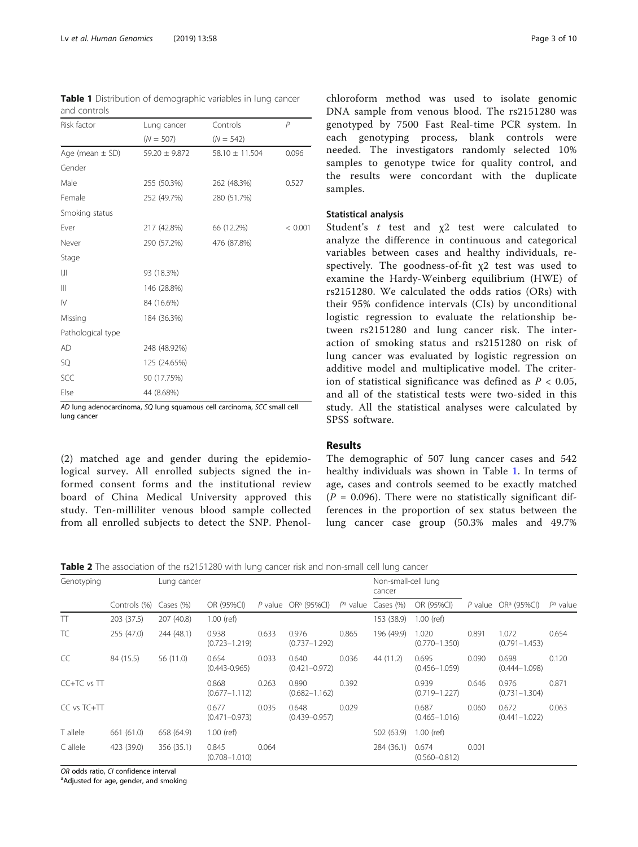<span id="page-2-0"></span>Table 1 Distribution of demographic variables in lung cancer and controls

| Risk factor         | Lung cancer       | Controls           | P       |
|---------------------|-------------------|--------------------|---------|
|                     | $(N = 507)$       | $(N = 542)$        |         |
| Age (mean $\pm$ SD) | $59.20 \pm 9.872$ | $58.10 \pm 11.504$ | 0.096   |
| Gender              |                   |                    |         |
| Male                | 255 (50.3%)       | 262 (48.3%)        | 0.527   |
| Female              | 252 (49.7%)       | 280 (51.7%)        |         |
| Smoking status      |                   |                    |         |
| Ever                | 217 (42.8%)       | 66 (12.2%)         | < 0.001 |
| Never               | 290 (57.2%)       | 476 (87.8%)        |         |
| Stage               |                   |                    |         |
| IJ                  | 93 (18.3%)        |                    |         |
| Ш                   | 146 (28.8%)       |                    |         |
| IV                  | 84 (16.6%)        |                    |         |
| Missing             | 184 (36.3%)       |                    |         |
| Pathological type   |                   |                    |         |
| AD                  | 248 (48.92%)      |                    |         |
| SQ                  | 125 (24.65%)      |                    |         |
| SCC                 | 90 (17.75%)       |                    |         |
| Else                | 44 (8.68%)        |                    |         |

AD lung adenocarcinoma, SQ lung squamous cell carcinoma, SCC small cell lung cancer

(2) matched age and gender during the epidemiological survey. All enrolled subjects signed the informed consent forms and the institutional review board of China Medical University approved this study. Ten-milliliter venous blood sample collected from all enrolled subjects to detect the SNP. Phenol-

chloroform method was used to isolate genomic DNA sample from venous blood. The rs2151280 was genotyped by 7500 Fast Real-time PCR system. In each genotyping process, blank controls were needed. The investigators randomly selected 10% samples to genotype twice for quality control, and the results were concordant with the duplicate samples.

#### Statistical analysis

Student's  $t$  test and  $\chi$ 2 test were calculated to analyze the difference in continuous and categorical variables between cases and healthy individuals, respectively. The goodness-of-fit χ2 test was used to examine the Hardy-Weinberg equilibrium (HWE) of rs2151280. We calculated the odds ratios (ORs) with their 95% confidence intervals (CIs) by unconditional logistic regression to evaluate the relationship between rs2151280 and lung cancer risk. The interaction of smoking status and rs2151280 on risk of lung cancer was evaluated by logistic regression on additive model and multiplicative model. The criterion of statistical significance was defined as  $P < 0.05$ , and all of the statistical tests were two-sided in this study. All the statistical analyses were calculated by SPSS software.

#### Results

The demographic of 507 lung cancer cases and 542 healthy individuals was shown in Table 1. In terms of age, cases and controls seemed to be exactly matched  $(P = 0.096)$ . There were no statistically significant differences in the proportion of sex status between the lung cancer case group (50.3% males and 49.7%

Table 2 The association of the rs2151280 with lung cancer risk and non-small cell lung cancer

| Genotyping           |              | Lung cancer |                            |       |                            |             | Non-small-cell lung<br>cancer |                            |       |                            |             |
|----------------------|--------------|-------------|----------------------------|-------|----------------------------|-------------|-------------------------------|----------------------------|-------|----------------------------|-------------|
|                      | Controls (%) | Cases (%)   | OR (95%CI)                 |       | P value $OR^a$ (95%CI)     | $P^a$ value | Cases (%)                     | OR (95%CI)                 |       | P value $OR^a$ (95%CI)     | $P^a$ value |
| TT.                  | 203 (37.5)   | 207 (40.8)  | $1.00$ (ref)               |       |                            |             | 153 (38.9)                    | $1.00$ (ref)               |       |                            |             |
| TC                   | 255 (47.0)   | 244 (48.1)  | 0.938<br>$(0.723 - 1.219)$ | 0.633 | 0.976<br>$(0.737 - 1.292)$ | 0.865       | 196 (49.9)                    | 1.020<br>$(0.770 - 1.350)$ | 0.891 | 1.072<br>$(0.791 - 1.453)$ | 0.654       |
| CC                   | 84 (15.5)    | 56 (11.0)   | 0.654<br>$(0.443 - 0.965)$ | 0.033 | 0.640<br>$(0.421 - 0.972)$ | 0.036       | 44 (11.2)                     | 0.695<br>$(0.456 - 1.059)$ | 0.090 | 0.698<br>$(0.444 - 1.098)$ | 0.120       |
| $C C + T C$ vs $T T$ |              |             | 0.868<br>$(0.677 - 1.112)$ | 0.263 | 0.890<br>$(0.682 - 1.162)$ | 0.392       |                               | 0.939<br>$(0.719 - 1.227)$ | 0.646 | 0.976<br>$(0.731 - 1.304)$ | 0.871       |
| CC vs TC+TT          |              |             | 0.677<br>$(0.471 - 0.973)$ | 0.035 | 0.648<br>$(0.439 - 0.957)$ | 0.029       |                               | 0.687<br>$(0.465 - 1.016)$ | 0.060 | 0.672<br>$(0.441 - 1.022)$ | 0.063       |
| T allele             | 661 (61.0)   | 658 (64.9)  | $1.00$ (ref)               |       |                            |             | 502 (63.9)                    | $1.00$ (ref)               |       |                            |             |
| C allele             | 423 (39.0)   | 356 (35.1)  | 0.845<br>$(0.708 - 1.010)$ | 0.064 |                            |             | 284 (36.1)                    | 0.674<br>$(0.560 - 0.812)$ | 0.001 |                            |             |

OR odds ratio, CI confidence interval

<sup>a</sup>Adjusted for age, gender, and smoking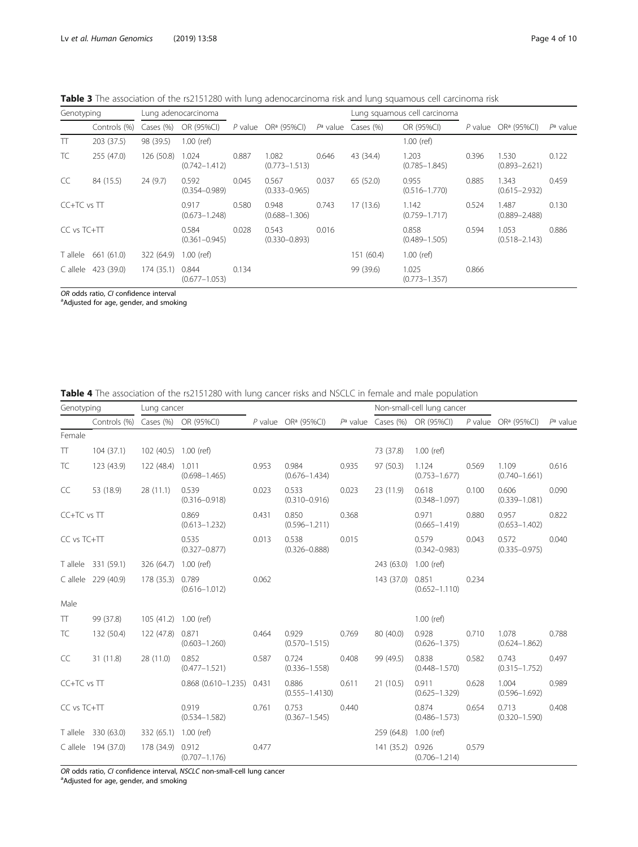<span id="page-3-0"></span>Table 3 The association of the rs2151280 with lung adenocarcinoma risk and lung squamous cell carcinoma risk

| Genotyping           |              |            | Lung adenocarcinoma        |       |                            |                      |            | Lung squamous cell carcinoma |       |                            |             |
|----------------------|--------------|------------|----------------------------|-------|----------------------------|----------------------|------------|------------------------------|-------|----------------------------|-------------|
|                      | Controls (%) | Cases (%)  | OR (95%CI)                 |       | P value $OR^a$ (95%CI)     | P <sup>a</sup> value | Cases (%)  | OR (95%CI)                   |       | P value $OR^a$ (95%CI)     | $P^a$ value |
| $\top$               | 203 (37.5)   | 98 (39.5)  | $1.00$ (ref)               |       |                            |                      |            | $1.00$ (ref)                 |       |                            |             |
| TC                   | 255 (47.0)   | 126 (50.8) | 1.024<br>$(0.742 - 1.412)$ | 0.887 | 1.082<br>$(0.773 - 1.513)$ | 0.646                | 43 (34.4)  | 1.203<br>$(0.785 - 1.845)$   | 0.396 | 1.530<br>$(0.893 - 2.621)$ | 0.122       |
| CC                   | 84 (15.5)    | 24(9.7)    | 0.592<br>$(0.354 - 0.989)$ | 0.045 | 0.567<br>$(0.333 - 0.965)$ | 0.037                | 65 (52.0)  | 0.955<br>$(0.516 - 1.770)$   | 0.885 | .343<br>$(0.615 - 2.932)$  | 0.459       |
| $C C + T C$ vs $T T$ |              |            | 0.917<br>$(0.673 - 1.248)$ | 0.580 | 0.948<br>$(0.688 - 1.306)$ | 0.743                | 17(13.6)   | 1.142<br>$(0.759 - 1.717)$   | 0.524 | .487<br>$(0.889 - 2.488)$  | 0.130       |
| CC vs TC+TT          |              |            | 0.584<br>$(0.361 - 0.945)$ | 0.028 | 0.543<br>$(0.330 - 0.893)$ | 0.016                |            | 0.858<br>$(0.489 - 1.505)$   | 0.594 | 1.053<br>$(0.518 - 2.143)$ | 0.886       |
| T allele             | 661 (61.0)   | 322 (64.9) | $1.00$ (ref)               |       |                            |                      | 151 (60.4) | $1.00$ (ref)                 |       |                            |             |
| C allele             | 423 (39.0)   | 174 (35.1) | 0.844<br>$(0.677 - 1.053)$ | 0.134 |                            |                      | 99 (39.6)  | 1.025<br>$(0.773 - 1.357)$   | 0.866 |                            |             |

OR odds ratio, CI confidence interval

<sup>a</sup>Adjusted for age, gender, and smoking

Table 4 The association of the rs2151280 with lung cancer risks and NSCLC in female and male population

| Genotyping  |                                   | Lung cancer           |                            |       |                                 |       |            | Non-small-cell lung cancer       |       |                            |             |
|-------------|-----------------------------------|-----------------------|----------------------------|-------|---------------------------------|-------|------------|----------------------------------|-------|----------------------------|-------------|
|             | Controls (%) Cases (%) OR (95%CI) |                       |                            |       | P value OR <sup>a</sup> (95%CI) |       |            | $P^a$ value Cases (%) OR (95%CI) |       | P value $OR^a$ (95%CI)     | $P^a$ value |
| Female      |                                   |                       |                            |       |                                 |       |            |                                  |       |                            |             |
| $\Pi$       | 104(37.1)                         | 102 (40.5) 1.00 (ref) |                            |       |                                 |       | 73 (37.8)  | 1.00 (ref)                       |       |                            |             |
| TC          | 123 (43.9)                        | 122 (48.4)            | 1.011<br>$(0.698 - 1.465)$ | 0.953 | 0.984<br>$(0.676 - 1.434)$      | 0.935 | 97 (50.3)  | 1.124<br>$(0.753 - 1.677)$       | 0.569 | 1.109<br>$(0.740 - 1.661)$ | 0.616       |
| CC          | 53 (18.9)                         | 28(11.1)              | 0.539<br>$(0.316 - 0.918)$ | 0.023 | 0.533<br>$(0.310 - 0.916)$      | 0.023 | 23 (11.9)  | 0.618<br>$(0.348 - 1.097)$       | 0.100 | 0.606<br>$(0.339 - 1.081)$ | 0.090       |
| CC+TC vs TT |                                   |                       | 0.869<br>$(0.613 - 1.232)$ | 0.431 | 0.850<br>$(0.596 - 1.211)$      | 0.368 |            | 0.971<br>$(0.665 - 1.419)$       | 0.880 | 0.957<br>$(0.653 - 1.402)$ | 0.822       |
| CC vs TC+TT |                                   |                       | 0.535<br>$(0.327 - 0.877)$ | 0.013 | 0.538<br>$(0.326 - 0.888)$      | 0.015 |            | 0.579<br>$(0.342 - 0.983)$       | 0.043 | 0.572<br>$(0.335 - 0.975)$ | 0.040       |
|             | T allele 331 (59.1)               | 326 (64.7)            | $1.00$ (ref)               |       |                                 |       | 243 (63.0) | 1.00 (ref)                       |       |                            |             |
|             | C allele 229 (40.9)               | 178 (35.3)            | 0.789<br>$(0.616 - 1.012)$ | 0.062 |                                 |       | 143 (37.0) | 0.851<br>$(0.652 - 1.110)$       | 0.234 |                            |             |
| Male        |                                   |                       |                            |       |                                 |       |            |                                  |       |                            |             |
| $\top$      | 99 (37.8)                         | 105 (41.2) 1.00 (ref) |                            |       |                                 |       |            | $1.00$ (ref)                     |       |                            |             |
| TC          | 132 (50.4)                        | 122 (47.8)            | 0.871<br>$(0.603 - 1.260)$ | 0.464 | 0.929<br>$(0.570 - 1.515)$      | 0.769 | 80 (40.0)  | 0.928<br>$(0.626 - 1.375)$       | 0.710 | 1.078<br>$(0.624 - 1.862)$ | 0.788       |
| CC          | 31 (11.8)                         | 28 (11.0)             | 0.852<br>$(0.477 - 1.521)$ | 0.587 | 0.724<br>$(0.336 - 1.558)$      | 0.408 | 99 (49.5)  | 0.838<br>$(0.448 - 1.570)$       | 0.582 | 0.743<br>$(0.315 - 1.752)$ | 0.497       |
| CC+TC vs TT |                                   |                       | $0.868$ (0.610-1.235)      | 0.431 | 0.886<br>$(0.555 - 1.4130)$     | 0.611 | 21 (10.5)  | 0.911<br>$(0.625 - 1.329)$       | 0.628 | 1.004<br>$(0.596 - 1.692)$ | 0.989       |
| CC vs TC+TT |                                   |                       | 0.919<br>$(0.534 - 1.582)$ | 0.761 | 0.753<br>$(0.367 - 1.545)$      | 0.440 |            | 0.874<br>$(0.486 - 1.573)$       | 0.654 | 0.713<br>$(0.320 - 1.590)$ | 0.408       |
|             | T allele 330 (63.0)               | 332 (65.1)            | 1.00 (ref)                 |       |                                 |       | 259 (64.8) | $1.00$ (ref)                     |       |                            |             |
|             | C allele 194 (37.0)               | 178 (34.9)            | 0.912<br>$(0.707 - 1.176)$ | 0.477 |                                 |       | 141(35.2)  | 0.926<br>$(0.706 - 1.214)$       | 0.579 |                            |             |

OR odds ratio, CI confidence interval, NSCLC non-small-cell lung cancer

<sup>a</sup>Adjusted for age, gender, and smoking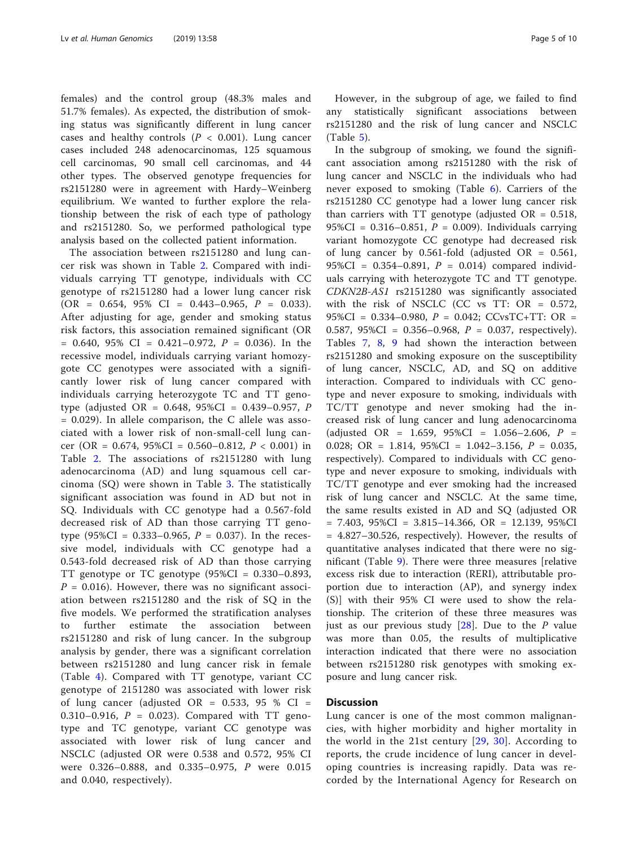females) and the control group (48.3% males and 51.7% females). As expected, the distribution of smoking status was significantly different in lung cancer cases and healthy controls ( $P < 0.001$ ). Lung cancer cases included 248 adenocarcinomas, 125 squamous cell carcinomas, 90 small cell carcinomas, and 44 other types. The observed genotype frequencies for rs2151280 were in agreement with Hardy–Weinberg equilibrium. We wanted to further explore the relationship between the risk of each type of pathology and rs2151280. So, we performed pathological type analysis based on the collected patient information.

The association between rs2151280 and lung cancer risk was shown in Table [2](#page-2-0). Compared with individuals carrying TT genotype, individuals with CC genotype of rs2151280 had a lower lung cancer risk  $(OR = 0.654, 95\% \text{ CI} = 0.443 - 0.965, P = 0.033).$ After adjusting for age, gender and smoking status risk factors, this association remained significant (OR  $= 0.640, 95\% \text{ CI} = 0.421 - 0.972, P = 0.036$ . In the recessive model, individuals carrying variant homozygote CC genotypes were associated with a significantly lower risk of lung cancer compared with individuals carrying heterozygote TC and TT genotype (adjusted OR = 0.648, 95%CI = 0.439–0.957, P = 0.029). In allele comparison, the C allele was associated with a lower risk of non-small-cell lung cancer (OR = 0.674,  $95\%CI = 0.560 - 0.812$ ,  $P < 0.001$ ) in Table [2](#page-2-0). The associations of rs2151280 with lung adenocarcinoma (AD) and lung squamous cell carcinoma (SQ) were shown in Table [3](#page-3-0). The statistically significant association was found in AD but not in SQ. Individuals with CC genotype had a 0.567-fold decreased risk of AD than those carrying TT genotype (95%CI = 0.333–0.965,  $P = 0.037$ ). In the recessive model, individuals with CC genotype had a 0.543-fold decreased risk of AD than those carrying TT genotype or TC genotype (95%CI = 0.330–0.893,  $P = 0.016$ . However, there was no significant association between rs2151280 and the risk of SQ in the five models. We performed the stratification analyses to further estimate the association between rs2151280 and risk of lung cancer. In the subgroup analysis by gender, there was a significant correlation between rs2151280 and lung cancer risk in female (Table [4](#page-3-0)). Compared with TT genotype, variant CC genotype of 2151280 was associated with lower risk of lung cancer (adjusted OR =  $0.533, 95\%$  CI = 0.310–0.916,  $P = 0.023$ ). Compared with TT genotype and TC genotype, variant CC genotype was associated with lower risk of lung cancer and NSCLC (adjusted OR were 0.538 and 0.572, 95% CI were 0.326–0.888, and 0.335–0.975, P were 0.015 and 0.040, respectively).

However, in the subgroup of age, we failed to find any statistically significant associations between rs2151280 and the risk of lung cancer and NSCLC  $(Table 5)$  $(Table 5)$  $(Table 5)$ .

In the subgroup of smoking, we found the significant association among rs2151280 with the risk of lung cancer and NSCLC in the individuals who had never exposed to smoking (Table [6\)](#page-6-0). Carriers of the rs2151280 CC genotype had a lower lung cancer risk than carriers with TT genotype (adjusted  $OR = 0.518$ , 95%CI = 0.316-0.851,  $P = 0.009$ ). Individuals carrying variant homozygote CC genotype had decreased risk of lung cancer by  $0.561$ -fold (adjusted OR =  $0.561$ , 95%CI =  $0.354 - 0.891$ ,  $P = 0.014$ ) compared individuals carrying with heterozygote TC and TT genotype. CDKN2B-AS1 rs2151280 was significantly associated with the risk of NSCLC (CC vs TT:  $OR = 0.572$ , 95%CI =  $0.334 - 0.980$ ,  $P = 0.042$ ; CCvsTC+TT: OR = 0.587, 95%CI = 0.356–0.968,  $P = 0.037$ , respectively). Tables [7,](#page-6-0) [8](#page-7-0), [9](#page-7-0) had shown the interaction between rs2151280 and smoking exposure on the susceptibility of lung cancer, NSCLC, AD, and SQ on additive interaction. Compared to individuals with CC genotype and never exposure to smoking, individuals with TC/TT genotype and never smoking had the increased risk of lung cancer and lung adenocarcinoma (adjusted OR = 1.659, 95%CI = 1.056-2.606,  $P =$ 0.028; OR = 1.814,  $95\%CI = 1.042 - 3.156$ ,  $P = 0.035$ , respectively). Compared to individuals with CC genotype and never exposure to smoking, individuals with TC/TT genotype and ever smoking had the increased risk of lung cancer and NSCLC. At the same time, the same results existed in AD and SQ (adjusted OR  $= 7.403, 95\%CI = 3.815 - 14.366, OR = 12.139, 95\%CI$ = 4.827–30.526, respectively). However, the results of quantitative analyses indicated that there were no significant (Table [9\)](#page-7-0). There were three measures [relative excess risk due to interaction (RERI), attributable proportion due to interaction (AP), and synergy index (S)] with their 95% CI were used to show the relationship. The criterion of these three measures was just as our previous study  $[28]$  $[28]$ . Due to the P value was more than 0.05, the results of multiplicative interaction indicated that there were no association between rs2151280 risk genotypes with smoking exposure and lung cancer risk.

#### Discussion

Lung cancer is one of the most common malignancies, with higher morbidity and higher mortality in the world in the 21st century [[29](#page-8-0), [30](#page-8-0)]. According to reports, the crude incidence of lung cancer in developing countries is increasing rapidly. Data was recorded by the International Agency for Research on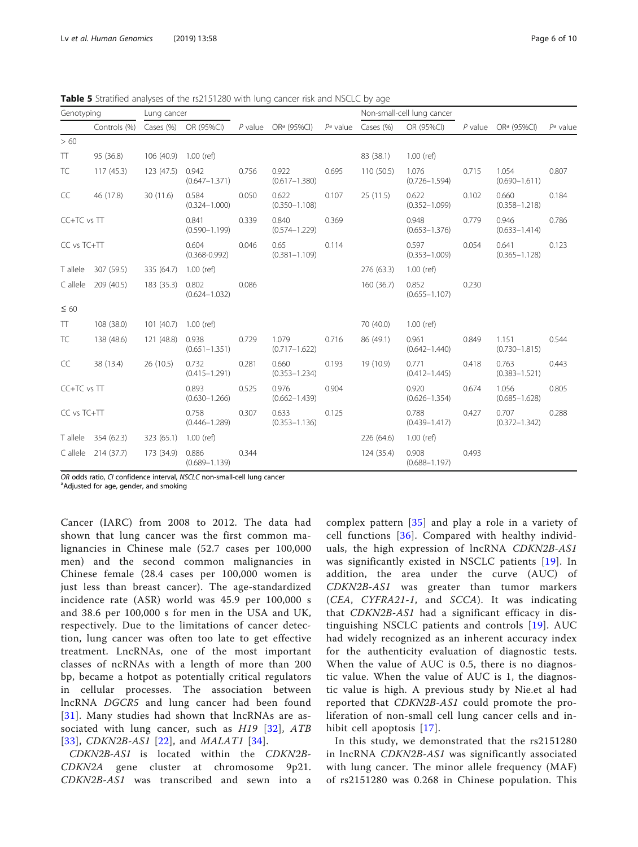<span id="page-5-0"></span>

| Genotyping  |                     | Lung cancer           |                            |           |                            |       |            | Non-small-cell lung cancer       |       |                                 |             |
|-------------|---------------------|-----------------------|----------------------------|-----------|----------------------------|-------|------------|----------------------------------|-------|---------------------------------|-------------|
|             | Controls (%)        |                       | Cases (%) OR (95%CI)       | $P$ value | OR <sup>a</sup> (95%Cl)    |       |            | $P^a$ value Cases (%) OR (95%CI) |       | P value OR <sup>a</sup> (95%Cl) | $P^a$ value |
| >60         |                     |                       |                            |           |                            |       |            |                                  |       |                                 |             |
| $\top$      | 95 (36.8)           | 106 (40.9) 1.00 (ref) |                            |           |                            |       | 83 (38.1)  | 1.00 (ref)                       |       |                                 |             |
| TC          | 117(45.3)           | 123 (47.5)            | 0.942<br>$(0.647 - 1.371)$ | 0.756     | 0.922<br>$(0.617 - 1.380)$ | 0.695 | 110 (50.5) | 1.076<br>$(0.726 - 1.594)$       | 0.715 | 1.054<br>$(0.690 - 1.611)$      | 0.807       |
| CC          | 46 (17.8)           | 30 (11.6)             | 0.584<br>$(0.324 - 1.000)$ | 0.050     | 0.622<br>$(0.350 - 1.108)$ | 0.107 | 25(11.5)   | 0.622<br>$(0.352 - 1.099)$       | 0.102 | 0.660<br>$(0.358 - 1.218)$      | 0.184       |
| CC+TC vs TT |                     |                       | 0.841<br>$(0.590 - 1.199)$ | 0.339     | 0.840<br>$(0.574 - 1.229)$ | 0.369 |            | 0.948<br>$(0.653 - 1.376)$       | 0.779 | 0.946<br>$(0.633 - 1.414)$      | 0.786       |
| CC vs TC+TT |                     |                       | 0.604<br>$(0.368 - 0.992)$ | 0.046     | 0.65<br>$(0.381 - 1.109)$  | 0.114 |            | 0.597<br>$(0.353 - 1.009)$       | 0.054 | 0.641<br>$(0.365 - 1.128)$      | 0.123       |
|             | T allele 307 (59.5) | 335 (64.7)            | 1.00 (ref)                 |           |                            |       | 276 (63.3) | 1.00 (ref)                       |       |                                 |             |
| C allele    | 209 (40.5)          | 183 (35.3)            | 0.802<br>$(0.624 - 1.032)$ | 0.086     |                            |       | 160 (36.7) | 0.852<br>$(0.655 - 1.107)$       | 0.230 |                                 |             |
| $\leq 60$   |                     |                       |                            |           |                            |       |            |                                  |       |                                 |             |
| $\top$      | 108 (38.0)          | 101 (40.7) 1.00 (ref) |                            |           |                            |       | 70 (40.0)  | $1.00$ (ref)                     |       |                                 |             |
| TC          | 138 (48.6)          | 121 (48.8)            | 0.938<br>$(0.651 - 1.351)$ | 0.729     | 1.079<br>$(0.717 - 1.622)$ | 0.716 | 86 (49.1)  | 0.961<br>$(0.642 - 1.440)$       | 0.849 | 1.151<br>$(0.730 - 1.815)$      | 0.544       |
| CC          | 38 (13.4)           | 26(10.5)              | 0.732<br>$(0.415 - 1.291)$ | 0.281     | 0.660<br>$(0.353 - 1.234)$ | 0.193 | 19 (10.9)  | 0.771<br>$(0.412 - 1.445)$       | 0.418 | 0.763<br>$(0.383 - 1.521)$      | 0.443       |
| CC+TC vs TT |                     |                       | 0.893<br>$(0.630 - 1.266)$ | 0.525     | 0.976<br>$(0.662 - 1.439)$ | 0.904 |            | 0.920<br>$(0.626 - 1.354)$       | 0.674 | 1.056<br>$(0.685 - 1.628)$      | 0.805       |
| CC vs TC+TT |                     |                       | 0.758<br>$(0.446 - 1.289)$ | 0.307     | 0.633<br>$(0.353 - 1.136)$ | 0.125 |            | 0.788<br>$(0.439 - 1.417)$       | 0.427 | 0.707<br>$(0.372 - 1.342)$      | 0.288       |
|             | T allele 354 (62.3) | 323 (65.1) 1.00 (ref) |                            |           |                            |       | 226 (64.6) | 1.00 (ref)                       |       |                                 |             |
|             | C allele 214 (37.7) | 173 (34.9)            | 0.886<br>$(0.689 - 1.139)$ | 0.344     |                            |       | 124 (35.4) | 0.908<br>$(0.688 - 1.197)$       | 0.493 |                                 |             |

OR odds ratio, CI confidence interval, NSCLC non-small-cell lung cancer

Adjusted for age, gender, and smoking

Cancer (IARC) from 2008 to 2012. The data had shown that lung cancer was the first common malignancies in Chinese male (52.7 cases per 100,000 men) and the second common malignancies in Chinese female (28.4 cases per 100,000 women is just less than breast cancer). The age-standardized incidence rate (ASR) world was 45.9 per 100,000 s and 38.6 per 100,000 s for men in the USA and UK, respectively. Due to the limitations of cancer detection, lung cancer was often too late to get effective treatment. LncRNAs, one of the most important classes of ncRNAs with a length of more than 200 bp, became a hotpot as potentially critical regulators in cellular processes. The association between lncRNA DGCR5 and lung cancer had been found [[31](#page-8-0)]. Many studies had shown that lncRNAs are as-sociated with lung cancer, such as H19 [[32\]](#page-8-0), ATB [[33](#page-8-0)], *CDKN2B-AS1* [[22](#page-8-0)], and *MALAT1* [[34](#page-8-0)].

CDKN2B-AS1 is located within the CDKN2B-CDKN2A gene cluster at chromosome 9p21. CDKN2B-AS1 was transcribed and sewn into a

complex pattern [[35\]](#page-9-0) and play a role in a variety of cell functions [[36\]](#page-9-0). Compared with healthy individuals, the high expression of lncRNA CDKN2B-AS1 was significantly existed in NSCLC patients [[19](#page-8-0)]. In addition, the area under the curve (AUC) of CDKN2B-AS1 was greater than tumor markers (CEA, CYFRA21-1, and SCCA). It was indicating that CDKN2B-AS1 had a significant efficacy in distinguishing NSCLC patients and controls [[19](#page-8-0)]. AUC had widely recognized as an inherent accuracy index for the authenticity evaluation of diagnostic tests. When the value of AUC is 0.5, there is no diagnostic value. When the value of AUC is 1, the diagnostic value is high. A previous study by Nie.et al had reported that CDKN2B-AS1 could promote the proliferation of non-small cell lung cancer cells and inhibit cell apoptosis [\[17\]](#page-8-0).

In this study, we demonstrated that the rs2151280 in lncRNA CDKN2B-AS1 was significantly associated with lung cancer. The minor allele frequency (MAF) of rs2151280 was 0.268 in Chinese population. This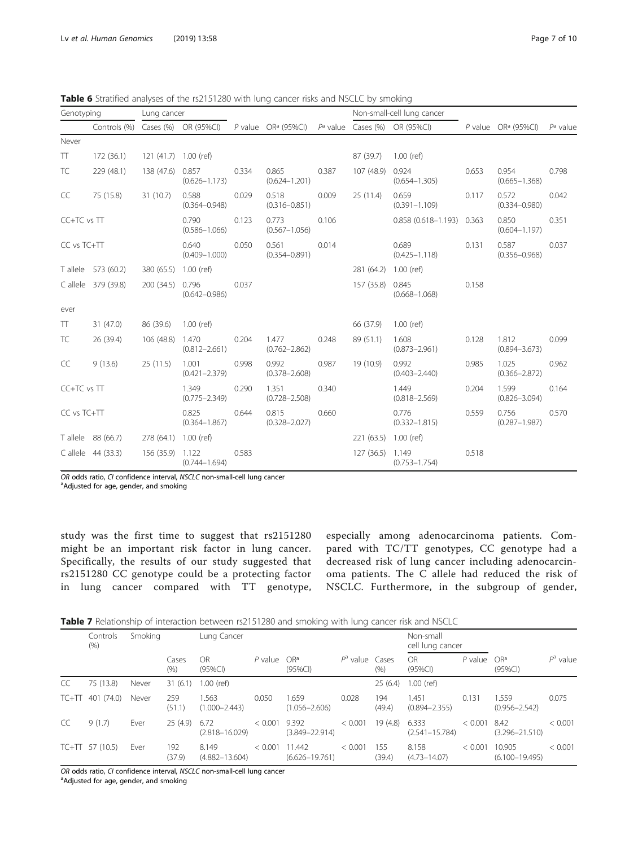| Genotyping  |                     | Lung cancer           |                            |       |                                                         |       |                       | Non-small-cell lung cancer   |       |                                 |             |
|-------------|---------------------|-----------------------|----------------------------|-------|---------------------------------------------------------|-------|-----------------------|------------------------------|-------|---------------------------------|-------------|
|             | Controls (%)        |                       | Cases (%) OR (95%CI)       |       | P value $OR^a$ (95%CI) $P^a$ value Cases (%) OR (95%CI) |       |                       |                              |       | P value OR <sup>a</sup> (95%CI) | $P^a$ value |
| Never       |                     |                       |                            |       |                                                         |       |                       |                              |       |                                 |             |
| TT.         | 172(36.1)           | 121 (41.7) 1.00 (ref) |                            |       |                                                         |       | 87 (39.7)             | $1.00$ (ref)                 |       |                                 |             |
| TC          | 229 (48.1)          | 138 (47.6)            | 0.857<br>$(0.626 - 1.173)$ | 0.334 | 0.865<br>$(0.624 - 1.201)$                              | 0.387 | 107 (48.9)            | 0.924<br>$(0.654 - 1.305)$   | 0.653 | 0.954<br>$(0.665 - 1.368)$      | 0.798       |
| CC          | 75 (15.8)           | 31(10.7)              | 0.588<br>$(0.364 - 0.948)$ | 0.029 | 0.518<br>$(0.316 - 0.851)$                              | 0.009 | 25 (11.4)             | 0.659<br>$(0.391 - 1.109)$   | 0.117 | 0.572<br>$(0.334 - 0.980)$      | 0.042       |
| CC+TC vs TT |                     |                       | 0.790<br>$(0.586 - 1.066)$ | 0.123 | 0.773<br>$(0.567 - 1.056)$                              | 0.106 |                       | $0.858(0.618 - 1.193)$ 0.363 |       | 0.850<br>$(0.604 - 1.197)$      | 0.351       |
| CC vs TC+TT |                     |                       | 0.640<br>$(0.409 - 1.000)$ | 0.050 | 0.561<br>$(0.354 - 0.891)$                              | 0.014 |                       | 0.689<br>$(0.425 - 1.118)$   | 0.131 | 0.587<br>$(0.356 - 0.968)$      | 0.037       |
|             | T allele 573 (60.2) | 380 (65.5)            | $1.00$ (ref)               |       |                                                         |       | 281 (64.2) 1.00 (ref) |                              |       |                                 |             |
|             | C allele 379 (39.8) | 200 (34.5)            | 0.796<br>$(0.642 - 0.986)$ | 0.037 |                                                         |       | 157 (35.8)            | 0.845<br>$(0.668 - 1.068)$   | 0.158 |                                 |             |
| ever        |                     |                       |                            |       |                                                         |       |                       |                              |       |                                 |             |
| TT.         | 31 (47.0)           | 86 (39.6)             | $1.00$ (ref)               |       |                                                         |       | 66 (37.9)             | 1.00 (ref)                   |       |                                 |             |
| TC          | 26 (39.4)           | 106 (48.8)            | 1.470<br>$(0.812 - 2.661)$ | 0.204 | 1.477<br>$(0.762 - 2.862)$                              | 0.248 | 89 (51.1)             | 1.608<br>$(0.873 - 2.961)$   | 0.128 | 1.812<br>$(0.894 - 3.673)$      | 0.099       |
| CC          | 9(13.6)             | 25(11.5)              | 1.001<br>$(0.421 - 2.379)$ | 0.998 | 0.992<br>$(0.378 - 2.608)$                              | 0.987 | 19 (10.9)             | 0.992<br>$(0.403 - 2.440)$   | 0.985 | 1.025<br>$(0.366 - 2.872)$      | 0.962       |
| CC+TC vs TT |                     |                       | 1.349<br>$(0.775 - 2.349)$ | 0.290 | 1.351<br>$(0.728 - 2.508)$                              | 0.340 |                       | 1.449<br>$(0.818 - 2.569)$   | 0.204 | 1.599<br>$(0.826 - 3.094)$      | 0.164       |
| CC vs TC+TT |                     |                       | 0.825<br>$(0.364 - 1.867)$ | 0.644 | 0.815<br>$(0.328 - 2.027)$                              | 0.660 |                       | 0.776<br>$(0.332 - 1.815)$   | 0.559 | 0.756<br>$(0.287 - 1.987)$      | 0.570       |
|             | T allele 88 (66.7)  | 278(64.1)             | $1.00$ (ref)               |       |                                                         |       | 221 (63.5) 1.00 (ref) |                              |       |                                 |             |
|             | C allele 44 (33.3)  | 156 (35.9)            | 1.122<br>$(0.744 - 1.694)$ | 0.583 |                                                         |       | 127 (36.5) 1.149      | $(0.753 - 1.754)$            | 0.518 |                                 |             |

<span id="page-6-0"></span>Table 6 Stratified analyses of the rs2151280 with lung cancer risks and NSCLC by smoking

OR odds ratio, CI confidence interval, NSCLC non-small-cell lung cancer

<sup>a</sup>Adjusted for age, gender, and smoking

study was the first time to suggest that rs2151280 might be an important risk factor in lung cancer. Specifically, the results of our study suggested that rs2151280 CC genotype could be a protecting factor in lung cancer compared with TT genotype,

especially among adenocarcinoma patients. Compared with TC/TT genotypes, CC genotype had a decreased risk of lung cancer including adenocarcinoma patients. The C allele had reduced the risk of NSCLC. Furthermore, in the subgroup of gender,

Table 7 Relationship of interaction between rs2151280 and smoking with lung cancer risk and NSCLC

|    | Controls<br>(% )   | Smoking |               | Lung Cancer                 |         |                              |                   |               | Non-small<br>cell lung cancer |           |                               |             |
|----|--------------------|---------|---------------|-----------------------------|---------|------------------------------|-------------------|---------------|-------------------------------|-----------|-------------------------------|-------------|
|    |                    |         | Cases<br>(% ) | OR<br>$(95\%CI)$            | P value | OR <sup>a</sup><br>(95%Cl)   | $P^a$ value Cases | (% )          | OR.<br>(95%Cl)                | $P$ value | OR <sup>a</sup><br>$(95\%CI)$ | $P^a$ value |
| CC | 75 (13.8)          | Never   | 31(6.1)       | l .00 (ref)                 |         |                              |                   | 25(6.4)       | $1.00$ (ref)                  |           |                               |             |
|    | $TC+TT$ 401 (74.0) | Never   | 259<br>(51.1) | .563<br>$(1.000 - 2.443)$   | 0.050   | 1.659<br>$(1.056 - 2.606)$   | 0.028             | 194<br>(49.4) | .451<br>$(0.894 - 2.355)$     | 0.131     | 1.559<br>$(0.956 - 2.542)$    | 0.075       |
| CC | 9(1.7)             | Ever    | 25(4.9)       | 6.72<br>$(2.818 - 16.029)$  | < 0.001 | 9.392<br>$(3.849 - 22.914)$  | < 0.001           | 19(4.8)       | 6.333<br>$(2.541 - 15.784)$   | < 0.001   | 8.42<br>$(3.296 - 21.510)$    | < 0.001     |
|    | $TC+TT$ 57 (10.5)  | Ever    | 192<br>(37.9) | 8.149<br>$(4.882 - 13.604)$ | < 0.001 | 11.442<br>$(6.626 - 19.761)$ | < 0.001           | 155<br>(39.4) | 8.158<br>$(4.73 - 14.07)$     | < 0.001   | 10.905<br>$(6.100 - 19.495)$  | < 0.001     |

OR odds ratio, CI confidence interval, NSCLC non-small-cell lung cancer

<sup>a</sup>Adjusted for age, gender, and smoking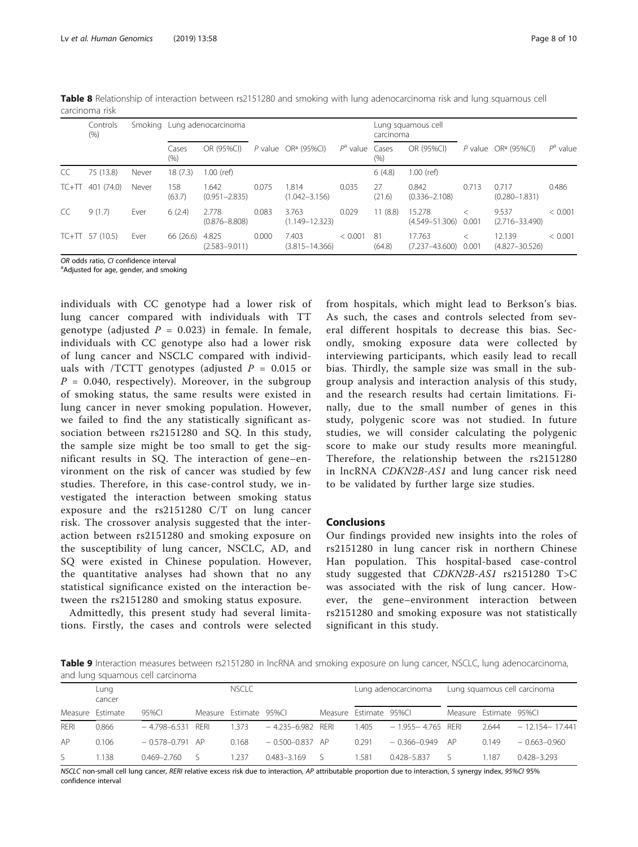|    | Controls<br>(% )   |       |               | Smoking Lung adenocarcinoma |       |                             |                  | carcinoma     | Lung squamous cell                 |         |                              |             |
|----|--------------------|-------|---------------|-----------------------------|-------|-----------------------------|------------------|---------------|------------------------------------|---------|------------------------------|-------------|
|    |                    |       | Cases<br>(% ) | OR (95%CI)                  |       | P value $OR^a$ (95%CI)      | $Pa$ value Cases | (% )          | OR (95%CI)                         |         | P value $OR^a$ (95%CI)       | $P^a$ value |
| CC | 75 (13.8)          | Never | 18(7.3)       | .00 (ref)                   |       |                             |                  | 6(4.8)        | $1.00$ (ref)                       |         |                              |             |
|    | $TC+TT$ 401 (74.0) | Never | 158<br>(63.7) | .642<br>$(0.951 - 2.835)$   | 0.075 | 1.814<br>$(1.042 - 3.156)$  | 0.035            | 27<br>(21.6)  | 0.842<br>$(0.336 - 2.108)$         | 0.713   | 0.717<br>$(0.280 - 1.831)$   | 0.486       |
| CC | 9(1.7)             | Ever  | 6(2.4)        | 2.778<br>$(0.876 - 8.808)$  | 0.083 | 3.763<br>$(1.149 - 12.323)$ | 0.029            | 11(8.8)       | 15.278<br>$(4.549 - 51.306)$ 0.001 |         | 9.537<br>$(2.716 - 33.490)$  | < 0.001     |
|    | $TC+TT$ 57 (10.5)  | Ever  | 66 (26.6)     | 4.825<br>$(2.583 - 9.011)$  | 0.000 | 7.403<br>$(3.815 - 14.366)$ | < 0.001          | -81<br>(64.8) | 17.763<br>$(7.237 - 43.600)$ 0.001 | $\,<\,$ | 12.139<br>$(4.827 - 30.526)$ | < 0.001     |

<span id="page-7-0"></span>Table 8 Relationship of interaction between rs2151280 and smoking with lung adenocarcinoma risk and lung squamous cell carcinoma risk

OR odds ratio, CL confidence interval

<sup>a</sup>Adjusted for age, gender, and smoking

individuals with CC genotype had a lower risk of lung cancer compared with individuals with TT genotype (adjusted  $P = 0.023$ ) in female. In female, individuals with CC genotype also had a lower risk of lung cancer and NSCLC compared with individuals with /TCTT genotypes (adjusted  $P = 0.015$  or  $P = 0.040$ , respectively). Moreover, in the subgroup of smoking status, the same results were existed in lung cancer in never smoking population. However, we failed to find the any statistically significant association between rs2151280 and SQ. In this study, the sample size might be too small to get the significant results in SQ. The interaction of gene–environment on the risk of cancer was studied by few studies. Therefore, in this case-control study, we investigated the interaction between smoking status exposure and the rs2151280 C/T on lung cancer risk. The crossover analysis suggested that the interaction between rs2151280 and smoking exposure on the susceptibility of lung cancer, NSCLC, AD, and SQ were existed in Chinese population. However, the quantitative analyses had shown that no any statistical significance existed on the interaction between the rs2151280 and smoking status exposure.

Admittedly, this present study had several limitations. Firstly, the cases and controls were selected from hospitals, which might lead to Berkson's bias. As such, the cases and controls selected from several different hospitals to decrease this bias. Secondly, smoking exposure data were collected by interviewing participants, which easily lead to recall bias. Thirdly, the sample size was small in the subgroup analysis and interaction analysis of this study, and the research results had certain limitations. Finally, due to the small number of genes in this study, polygenic score was not studied. In future studies, we will consider calculating the polygenic score to make our study results more meaningful. Therefore, the relationship between the rs2151280 in lncRNA CDKN2B-AS1 and lung cancer risk need to be validated by further large size studies.

#### Conclusions

Our findings provided new insights into the roles of rs2151280 in lung cancer risk in northern Chinese Han population. This hospital-based case-control study suggested that CDKN2B-AS1 rs2151280 T>C was associated with the risk of lung cancer. However, the gene–environment interaction between rs2151280 and smoking exposure was not statistically significant in this study.

Table 9 Interaction measures between rs2151280 in lncRNA and smoking exposure on lung cancer, NSCLC, lung adenocarcinoma, and lung squamous cell carcinoma

|      | Lung             |                       |  | <b>NSCLC</b>           |                       |  |                        | Lung adenocarcinoma   |      |                        | Lung squamous cell carcinoma |  |
|------|------------------|-----------------------|--|------------------------|-----------------------|--|------------------------|-----------------------|------|------------------------|------------------------------|--|
|      | cancer           |                       |  |                        |                       |  |                        |                       |      |                        |                              |  |
|      | Measure Estimate | 95%CI                 |  | Measure Estimate 95%Cl |                       |  | Measure Estimate 95%Cl |                       |      | Measure Estimate 95%Cl |                              |  |
| RFRI | 0.866            | $-4.798 - 6.531$ RFRI |  | 1.373                  | $-4.235 - 6.982$ RFRI |  | 1.405                  | $-1.955 - 4.765$ RFRI |      | 2.644                  | $-12.154 - 17.441$           |  |
| AP   | 0.106            | $-0.578 - 0.791$ AP   |  | 0.168                  | $-0.500 - 0.837$ AP   |  | 0.291                  | $-0.366 - 0.949$      | - AP | 0.149                  | $-0.663 - 0.960$             |  |
| S.   | .138             | $0.469 - 2.760$       |  | 1.237                  | $0.483 - 3.169$       |  | 1.581                  | 0.428-5.837           |      | .187                   | $0.428 - 3.293$              |  |

NSCLC non-small cell lung cancer, RERI relative excess risk due to interaction, AP attributable proportion due to interaction, S synergy index, 95%CI 95% confidence interval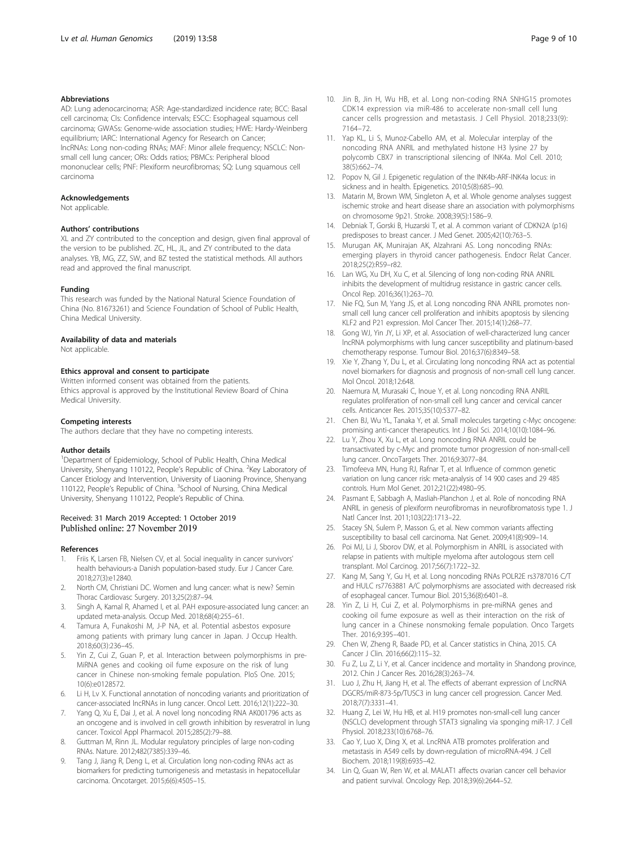#### <span id="page-8-0"></span>Abbreviations

AD: Lung adenocarcinoma; ASR: Age-standardized incidence rate; BCC: Basal cell carcinoma; CIs: Confidence intervals; ESCC: Esophageal squamous cell carcinoma; GWASs: Genome-wide association studies; HWE: Hardy-Weinberg equilibrium; IARC: International Agency for Research on Cancer; lncRNAs: Long non-coding RNAs; MAF: Minor allele frequency; NSCLC: Nonsmall cell lung cancer; ORs: Odds ratios; PBMCs: Peripheral blood mononuclear cells; PNF: Plexiform neurofibromas; SQ: Lung squamous cell carcinoma

#### Acknowledgements

Not applicable.

#### Authors' contributions

XL and ZY contributed to the conception and design, given final approval of the version to be published. ZC, HL, JL, and ZY contributed to the data analyses. YB, MG, ZZ, SW, and BZ tested the statistical methods. All authors read and approved the final manuscript.

#### Funding

This research was funded by the National Natural Science Foundation of China (No. 81673261) and Science Foundation of School of Public Health, China Medical University.

#### Availability of data and materials

Not applicable.

#### Ethics approval and consent to participate

Written informed consent was obtained from the patients. Ethics approval is approved by the Institutional Review Board of China Medical University.

#### Competing interests

The authors declare that they have no competing interests.

#### Author details

<sup>1</sup>Department of Epidemiology, School of Public Health, China Medical University, Shenyang 110122, People's Republic of China. <sup>2</sup>Key Laboratory of Cancer Etiology and Intervention, University of Liaoning Province, Shenyang 110122, People's Republic of China. <sup>3</sup>School of Nursing, China Medical University, Shenyang 110122, People's Republic of China.

#### Received: 31 March 2019 Accepted: 1 October 2019 Published online: 27 November 2019

#### References

- Friis K, Larsen FB, Nielsen CV, et al. Social inequality in cancer survivors' health behaviours-a Danish population-based study. Eur J Cancer Care. 2018;27(3):e12840.
- 2. North CM, Christiani DC. Women and lung cancer: what is new? Semin Thorac Cardiovasc Surgery. 2013;25(2):87–94.
- Singh A, Kamal R, Ahamed I, et al. PAH exposure-associated lung cancer: an updated meta-analysis. Occup Med. 2018;68(4):255–61.
- 4. Tamura A, Funakoshi M, J-P NA, et al. Potential asbestos exposure among patients with primary lung cancer in Japan. J Occup Health. 2018;60(3):236–45.
- Yin Z, Cui Z, Guan P, et al. Interaction between polymorphisms in pre-MiRNA genes and cooking oil fume exposure on the risk of lung cancer in Chinese non-smoking female population. PloS One. 2015; 10(6):e0128572.
- Li H, Lv X. Functional annotation of noncoding variants and prioritization of cancer-associated lncRNAs in lung cancer. Oncol Lett. 2016;12(1):222–30.
- 7. Yang Q, Xu E, Dai J, et al. A novel long noncoding RNA AK001796 acts as an oncogene and is involved in cell growth inhibition by resveratrol in lung cancer. Toxicol Appl Pharmacol. 2015;285(2):79–88.
- Guttman M, Rinn JL. Modular regulatory principles of large non-coding RNAs. Nature. 2012;482(7385):339–46.
- Tang J, Jiang R, Deng L, et al. Circulation long non-coding RNAs act as biomarkers for predicting tumorigenesis and metastasis in hepatocellular carcinoma. Oncotarget. 2015;6(6):4505–15.
- 10. Jin B, Jin H, Wu HB, et al. Long non-coding RNA SNHG15 promotes CDK14 expression via miR-486 to accelerate non-small cell lung cancer cells progression and metastasis. J Cell Physiol. 2018;233(9): 7164–72.
- 11. Yap KL, Li S, Munoz-Cabello AM, et al. Molecular interplay of the noncoding RNA ANRIL and methylated histone H3 lysine 27 by polycomb CBX7 in transcriptional silencing of INK4a. Mol Cell. 2010; 38(5):662–74.
- 12. Popov N, Gil J. Epigenetic regulation of the INK4b-ARF-INK4a locus: in sickness and in health. Epigenetics. 2010;5(8):685–90.
- 13. Matarin M, Brown WM, Singleton A, et al. Whole genome analyses suggest ischemic stroke and heart disease share an association with polymorphisms on chromosome 9p21. Stroke. 2008;39(5):1586–9.
- 14. Debniak T, Gorski B, Huzarski T, et al. A common variant of CDKN2A (p16) predisposes to breast cancer. J Med Genet. 2005;42(10):763–5.
- 15. Murugan AK, Munirajan AK, Alzahrani AS. Long noncoding RNAs: emerging players in thyroid cancer pathogenesis. Endocr Relat Cancer. 2018;25(2):R59–r82.
- 16. Lan WG, Xu DH, Xu C, et al. Silencing of long non-coding RNA ANRIL inhibits the development of multidrug resistance in gastric cancer cells. Oncol Rep. 2016;36(1):263–70.
- 17. Nie FQ, Sun M, Yang JS, et al. Long noncoding RNA ANRIL promotes nonsmall cell lung cancer cell proliferation and inhibits apoptosis by silencing KLF2 and P21 expression. Mol Cancer Ther. 2015;14(1):268–77.
- 18. Gong WJ, Yin JY, Li XP, et al. Association of well-characterized lung cancer lncRNA polymorphisms with lung cancer susceptibility and platinum-based chemotherapy response. Tumour Biol. 2016;37(6):8349–58.
- 19. Xie Y, Zhang Y, Du L, et al. Circulating long noncoding RNA act as potential novel biomarkers for diagnosis and prognosis of non-small cell lung cancer. Mol Oncol. 2018;12:648.
- 20. Naemura M, Murasaki C, Inoue Y, et al. Long noncoding RNA ANRIL regulates proliferation of non-small cell lung cancer and cervical cancer cells. Anticancer Res. 2015;35(10):5377–82.
- 21. Chen BJ, Wu YL, Tanaka Y, et al. Small molecules targeting c-Myc oncogene: promising anti-cancer therapeutics. Int J Biol Sci. 2014;10(10):1084–96.
- 22. Lu Y, Zhou X, Xu L, et al. Long noncoding RNA ANRIL could be transactivated by c-Myc and promote tumor progression of non-small-cell lung cancer. OncoTargets Ther. 2016;9:3077–84.
- 23. Timofeeva MN, Hung RJ, Rafnar T, et al. Influence of common genetic variation on lung cancer risk: meta-analysis of 14 900 cases and 29 485 controls. Hum Mol Genet. 2012;21(22):4980–95.
- 24. Pasmant E, Sabbagh A, Masliah-Planchon J, et al. Role of noncoding RNA ANRIL in genesis of plexiform neurofibromas in neurofibromatosis type 1. J Natl Cancer Inst. 2011;103(22):1713–22.
- 25. Stacey SN, Sulem P, Masson G, et al. New common variants affecting susceptibility to basal cell carcinoma. Nat Genet. 2009;41(8):909–14.
- 26. Poi MJ, Li J, Sborov DW, et al. Polymorphism in ANRIL is associated with relapse in patients with multiple myeloma after autologous stem cell transplant. Mol Carcinog. 2017;56(7):1722–32.
- 27. Kang M, Sang Y, Gu H, et al. Long noncoding RNAs POLR2E rs3787016 C/T and HULC rs7763881 A/C polymorphisms are associated with decreased risk of esophageal cancer. Tumour Biol. 2015;36(8):6401–8.
- 28. Yin Z, Li H, Cui Z, et al. Polymorphisms in pre-miRNA genes and cooking oil fume exposure as well as their interaction on the risk of lung cancer in a Chinese nonsmoking female population. Onco Targets Ther. 2016;9:395–401.
- 29. Chen W, Zheng R, Baade PD, et al. Cancer statistics in China, 2015. CA Cancer J Clin. 2016;66(2):115–32.
- 30. Fu Z, Lu Z, Li Y, et al. Cancer incidence and mortality in Shandong province, 2012. Chin J Cancer Res. 2016;28(3):263–74.
- 31. Luo J, Zhu H, Jiang H, et al. The effects of aberrant expression of LncRNA DGCR5/miR-873-5p/TUSC3 in lung cancer cell progression. Cancer Med. 2018;7(7):3331–41.
- 32. Huang Z, Lei W, Hu HB, et al. H19 promotes non-small-cell lung cancer (NSCLC) development through STAT3 signaling via sponging miR-17. J Cell Physiol. 2018;233(10):6768–76.
- 33. Cao Y, Luo X, Ding X, et al. LncRNA ATB promotes proliferation and metastasis in A549 cells by down-regulation of microRNA-494. J Cell Biochem. 2018;119(8):6935–42.
- 34. Lin Q, Guan W, Ren W, et al. MALAT1 affects ovarian cancer cell behavior and patient survival. Oncology Rep. 2018;39(6):2644–52.